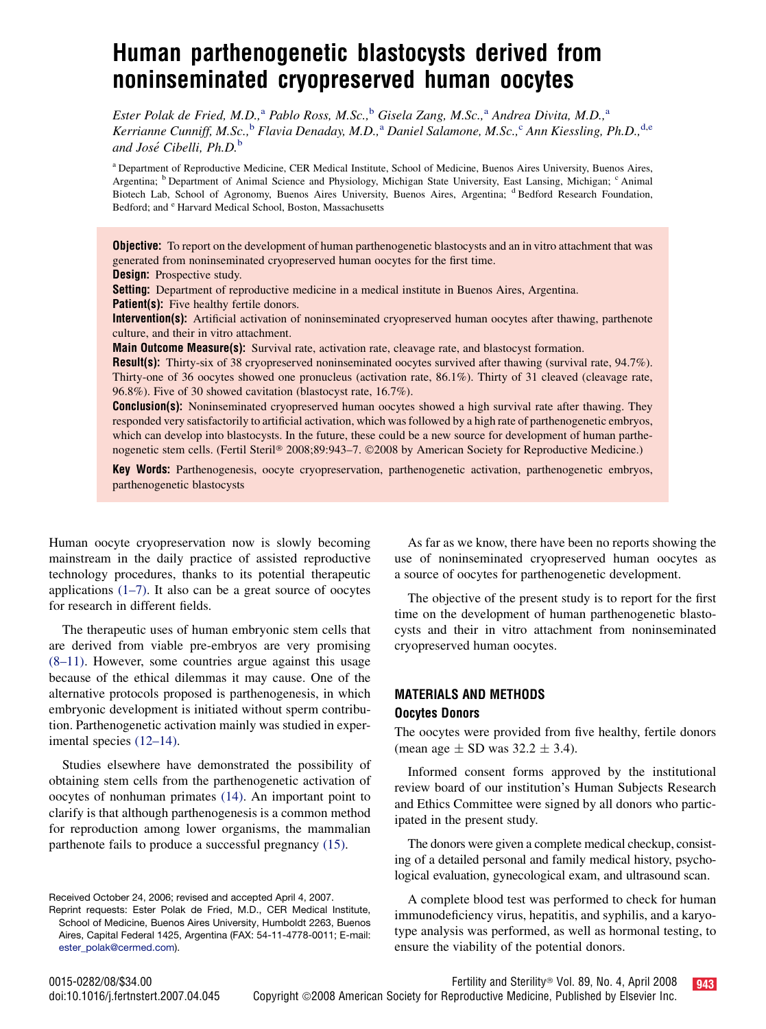# Human parthenogenetic blastocysts derived from noninseminated cryopreserved human oocytes

Ester Polak de Fried, M.D.,<sup>a</sup> Pablo Ross, M.Sc.,<sup>b</sup> Gisela Zang, M.Sc.,<sup>a</sup> Andrea Divita, M.D.,<sup>a</sup> Kerrianne Cunniff, M.Sc., $^{\text{b}}$  Flavia Denaday, M.D., $^{\text{a}}$  Daniel Salamone, M.Sc., $^{\text{c}}$  Ann Kiessling, Ph.D., $^{\text{d,e}}$ and José Cibelli, Ph.D.<sup>b</sup>

<sup>a</sup> Department of Reproductive Medicine, CER Medical Institute, School of Medicine, Buenos Aires University, Buenos Aires, Argentina; <sup>b</sup> Department of Animal Science and Physiology, Michigan State University, East Lansing, Michigan; <sup>c</sup> Animal Biotech Lab, School of Agronomy, Buenos Aires University, Buenos Aires, Argentina; <sup>d</sup> Bedford Research Foundation, Bedford; and <sup>e</sup> Harvard Medical School, Boston, Massachusetts

Objective: To report on the development of human parthenogenetic blastocysts and an in vitro attachment that was generated from noninseminated cryopreserved human oocytes for the first time.

**Design:** Prospective study.

Setting: Department of reproductive medicine in a medical institute in Buenos Aires, Argentina.

**Patient(s):** Five healthy fertile donors.

Intervention(s): Artificial activation of noninseminated cryopreserved human oocytes after thawing, parthenote culture, and their in vitro attachment.

Main Outcome Measure(s): Survival rate, activation rate, cleavage rate, and blastocyst formation.

**Result(s):** Thirty-six of 38 cryopreserved noninseminated oocytes survived after thawing (survival rate, 94.7%). Thirty-one of 36 oocytes showed one pronucleus (activation rate, 86.1%). Thirty of 31 cleaved (cleavage rate, 96.8%). Five of 30 showed cavitation (blastocyst rate, 16.7%).

**Conclusion(s):** Noninseminated cryopreserved human oocytes showed a high survival rate after thawing. They responded very satisfactorily to artificial activation, which was followed by a high rate of parthenogenetic embryos, which can develop into blastocysts. In the future, these could be a new source for development of human parthenogenetic stem cells. (Fertil Steril® 2008;89:943–7. ©2008 by American Society for Reproductive Medicine.)

Key Words: Parthenogenesis, oocyte cryopreservation, parthenogenetic activation, parthenogenetic embryos, parthenogenetic blastocysts

Human oocyte cryopreservation now is slowly becoming mainstream in the daily practice of assisted reproductive technology procedures, thanks to its potential therapeutic applications  $(1-7)$ . It also can be a great source of oocytes for research in different fields.

The therapeutic uses of human embryonic stem cells that are derived from viable pre-embryos are very promising  $(8-11)$ . However, some countries argue against this usage because of the ethical dilemmas it may cause. One of the alternative protocols proposed is parthenogenesis, in which embryonic development is initiated without sperm contribution. Parthenogenetic activation mainly was studied in experimental species [\(12–14\)](#page-3-0).

Studies elsewhere have demonstrated the possibility of obtaining stem cells from the parthenogenetic activation of oocytes of nonhuman primates [\(14\).](#page-3-0) An important point to clarify is that although parthenogenesis is a common method for reproduction among lower organisms, the mammalian parthenote fails to produce a successful pregnancy [\(15\).](#page-3-0)

Received October 24, 2006; revised and accepted April 4, 2007.

Reprint requests: Ester Polak de Fried, M.D., CER Medical Institute, School of Medicine, Buenos Aires University, Humboldt 2263, Buenos Aires, Capital Federal 1425, Argentina (FAX: 54-11-4778-0011; E-mail: [ester\\_polak@cermed.com](mailto:ester_polak@cermed.com)).

As far as we know, there have been no reports showing the use of noninseminated cryopreserved human oocytes as a source of oocytes for parthenogenetic development.

The objective of the present study is to report for the first time on the development of human parthenogenetic blastocysts and their in vitro attachment from noninseminated cryopreserved human oocytes.

## MATERIALS AND METHODS Oocytes Donors

The oocytes were provided from five healthy, fertile donors (mean age  $\pm$  SD was 32.2  $\pm$  3.4).

Informed consent forms approved by the institutional review board of our institution's Human Subjects Research and Ethics Committee were signed by all donors who participated in the present study.

The donors were given a complete medical checkup, consisting of a detailed personal and family medical history, psychological evaluation, gynecological exam, and ultrasound scan.

A complete blood test was performed to check for human immunodeficiency virus, hepatitis, and syphilis, and a karyotype analysis was performed, as well as hormonal testing, to ensure the viability of the potential donors.

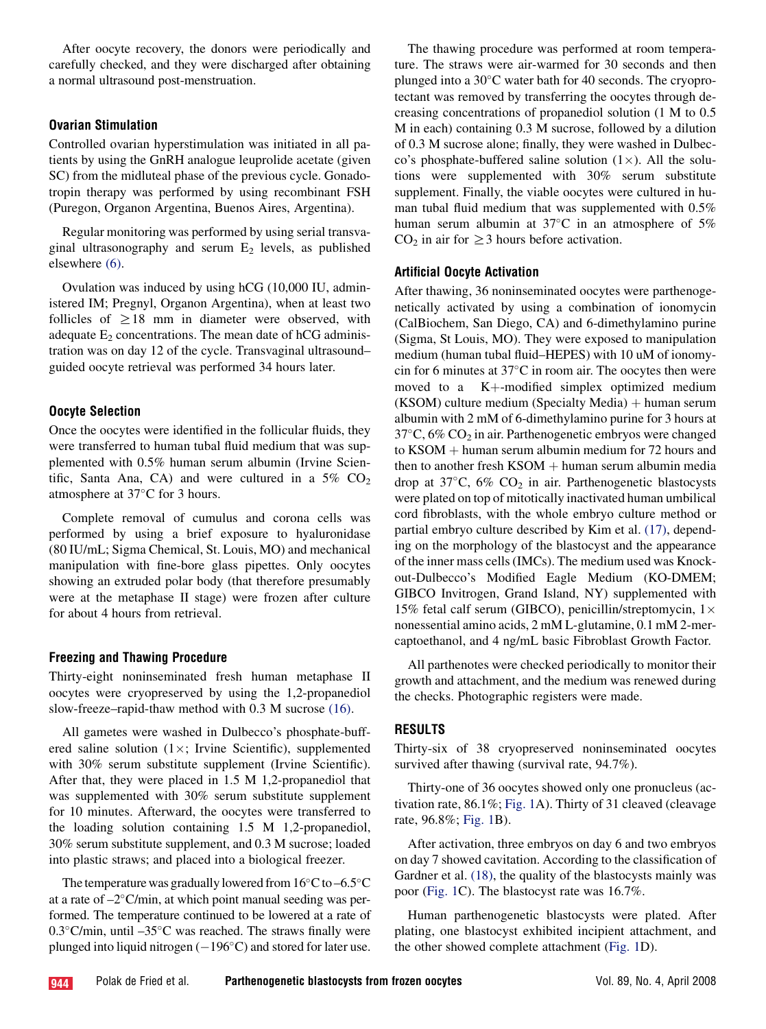After oocyte recovery, the donors were periodically and carefully checked, and they were discharged after obtaining a normal ultrasound post-menstruation.

#### Ovarian Stimulation

Controlled ovarian hyperstimulation was initiated in all patients by using the GnRH analogue leuprolide acetate (given SC) from the midluteal phase of the previous cycle. Gonadotropin therapy was performed by using recombinant FSH (Puregon, Organon Argentina, Buenos Aires, Argentina).

Regular monitoring was performed by using serial transvaginal ultrasonography and serum  $E_2$  levels, as published elsewhere [\(6\)](#page-3-0).

Ovulation was induced by using hCG (10,000 IU, administered IM; Pregnyl, Organon Argentina), when at least two follicles of  $\geq$ 18 mm in diameter were observed, with adequate  $E_2$  concentrations. The mean date of hCG administration was on day 12 of the cycle. Transvaginal ultrasound– guided oocyte retrieval was performed 34 hours later.

#### Oocyte Selection

Once the oocytes were identified in the follicular fluids, they were transferred to human tubal fluid medium that was supplemented with 0.5% human serum albumin (Irvine Scientific, Santa Ana, CA) and were cultured in a  $5\%$  CO<sub>2</sub> atmosphere at 37°C for 3 hours.

Complete removal of cumulus and corona cells was performed by using a brief exposure to hyaluronidase (80 IU/mL; Sigma Chemical, St. Louis, MO) and mechanical manipulation with fine-bore glass pipettes. Only oocytes showing an extruded polar body (that therefore presumably were at the metaphase II stage) were frozen after culture for about 4 hours from retrieval.

#### Freezing and Thawing Procedure

Thirty-eight noninseminated fresh human metaphase II oocytes were cryopreserved by using the 1,2-propanediol slow-freeze–rapid-thaw method with 0.3 M sucrose [\(16\)](#page-3-0).

All gametes were washed in Dulbecco's phosphate-buffered saline solution  $(1 \times; Irv)$  Irvine Scientific), supplemented with 30% serum substitute supplement (Irvine Scientific). After that, they were placed in 1.5 M 1,2-propanediol that was supplemented with 30% serum substitute supplement for 10 minutes. Afterward, the oocytes were transferred to the loading solution containing 1.5 M 1,2-propanediol, 30% serum substitute supplement, and 0.3 M sucrose; loaded into plastic straws; and placed into a biological freezer.

The temperature was gradually lowered from  $16^{\circ}$ C to –6.5 $^{\circ}$ C at a rate of  $-2^{\circ}$ C/min, at which point manual seeding was performed. The temperature continued to be lowered at a rate of  $0.3^{\circ}$ C/min, until  $-35^{\circ}$ C was reached. The straws finally were plunged into liquid nitrogen  $(-196^{\circ}C)$  and stored for later use.

The thawing procedure was performed at room temperature. The straws were air-warmed for 30 seconds and then plunged into a 30"C water bath for 40 seconds. The cryoprotectant was removed by transferring the oocytes through decreasing concentrations of propanediol solution (1 M to 0.5 M in each) containing 0.3 M sucrose, followed by a dilution of 0.3 M sucrose alone; finally, they were washed in Dulbecco's phosphate-buffered saline solution  $(1 \times)$ . All the solutions were supplemented with 30% serum substitute supplement. Finally, the viable oocytes were cultured in human tubal fluid medium that was supplemented with 0.5% human serum albumin at  $37^{\circ}$ C in an atmosphere of 5%  $CO<sub>2</sub>$  in air for  $\geq$ 3 hours before activation.

#### Artificial Oocyte Activation

After thawing, 36 noninseminated oocytes were parthenogenetically activated by using a combination of ionomycin (CalBiochem, San Diego, CA) and 6-dimethylamino purine (Sigma, St Louis, MO). They were exposed to manipulation medium (human tubal fluid–HEPES) with 10 uM of ionomycin for 6 minutes at  $37^{\circ}$ C in room air. The oocytes then were moved to a  $K+$ -modified simplex optimized medium  $(KSOM)$  culture medium (Specialty Media) + human serum albumin with 2 mM of 6-dimethylamino purine for 3 hours at  $37^{\circ}$ C, 6% CO<sub>2</sub> in air. Parthenogenetic embryos were changed to  $K SOM + human serum albumin medium for 72 hours and$ then to another fresh  $K SOM + human serum albumin media$ drop at  $37^{\circ}$ C,  $6\%$  CO<sub>2</sub> in air. Parthenogenetic blastocysts were plated on top of mitotically inactivated human umbilical cord fibroblasts, with the whole embryo culture method or partial embryo culture described by Kim et al. [\(17\),](#page-3-0) depending on the morphology of the blastocyst and the appearance of the inner mass cells(IMCs). The medium used was Knockout-Dulbecco's Modified Eagle Medium (KO-DMEM; GIBCO Invitrogen, Grand Island, NY) supplemented with 15% fetal calf serum (GIBCO), penicillin/streptomycin,  $1 \times$ nonessential amino acids, 2 mM L-glutamine, 0.1 mM 2-mercaptoethanol, and 4 ng/mL basic Fibroblast Growth Factor.

All parthenotes were checked periodically to monitor their growth and attachment, and the medium was renewed during the checks. Photographic registers were made.

### RESULTS

Thirty-six of 38 cryopreserved noninseminated oocytes survived after thawing (survival rate, 94.7%).

Thirty-one of 36 oocytes showed only one pronucleus (activation rate, 86.1%; [Fig.](#page-2-0) 1A). Thirty of 31 cleaved (cleavage rate, 96.8%; [Fig.](#page-2-0) 1B).

After activation, three embryos on day 6 and two embryos on day 7 showed cavitation. According to the classification of Gardner et al. [\(18\),](#page-3-0) the quality of the blastocysts mainly was poor [\(Fig.](#page-2-0) 1C). The blastocyst rate was 16.7%.

Human parthenogenetic blastocysts were plated. After plating, one blastocyst exhibited incipient attachment, and the other showed complete attachment [\(Fig.](#page-2-0) 1D).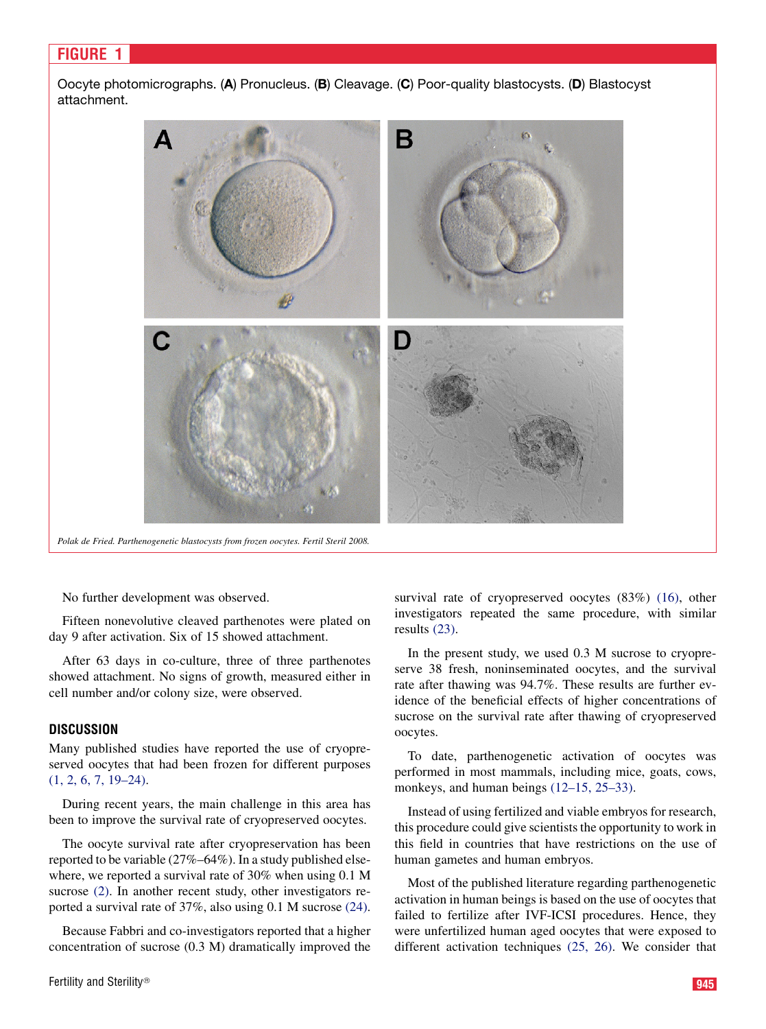#### <span id="page-2-0"></span>FIGURE 1

Oocyte photomicrographs. (A) Pronucleus. (B) Cleavage. (C) Poor-quality blastocysts. (D) Blastocyst attachment.



No further development was observed.

Fifteen nonevolutive cleaved parthenotes were plated on day 9 after activation. Six of 15 showed attachment.

After 63 days in co-culture, three of three parthenotes showed attachment. No signs of growth, measured either in cell number and/or colony size, were observed.

#### **DISCUSSION**

Many published studies have reported the use of cryopreserved oocytes that had been frozen for different purposes (1, 2, 6, 7, [19–24\).](#page-3-0)

During recent years, the main challenge in this area has been to improve the survival rate of cryopreserved oocytes.

The oocyte survival rate after cryopreservation has been reported to be variable (27%–64%). In a study published elsewhere, we reported a survival rate of 30% when using 0.1 M sucrose [\(2\)](#page-3-0). In another recent study, other investigators reported a survival rate of 37%, also using 0.1 M sucrose [\(24\)](#page-3-0).

Because Fabbri and co-investigators reported that a higher concentration of sucrose (0.3 M) dramatically improved the

Fertility and Sterility® 2015 2016 2022 12:30 12:30 12:30 12:30 12:30 12:30 12:30 12:30 12:30 12:30 12:30 12:30 12:30 12:30 12:30 12:30 12:30 12:30 12:30 12:30 12:30 12:30 12:30 12:30 12:30 12:30 12:30 12:30 12:30 12:30 12

survival rate of cryopreserved oocytes (83%) [\(16\),](#page-3-0) other investigators repeated the same procedure, with similar results [\(23\)](#page-3-0).

In the present study, we used 0.3 M sucrose to cryopreserve 38 fresh, noninseminated oocytes, and the survival rate after thawing was 94.7%. These results are further evidence of the beneficial effects of higher concentrations of sucrose on the survival rate after thawing of cryopreserved oocytes.

To date, parthenogenetic activation of oocytes was performed in most mammals, including mice, goats, cows, monkeys, and human beings [\(12–15,](#page-3-0) 25–33).

Instead of using fertilized and viable embryos for research, this procedure could give scientists the opportunity to work in this field in countries that have restrictions on the use of human gametes and human embryos.

Most of the published literature regarding parthenogenetic activation in human beings is based on the use of oocytes that failed to fertilize after IVF-ICSI procedures. Hence, they were unfertilized human aged oocytes that were exposed to different activation techniques [\(25,](#page-3-0) 26). We consider that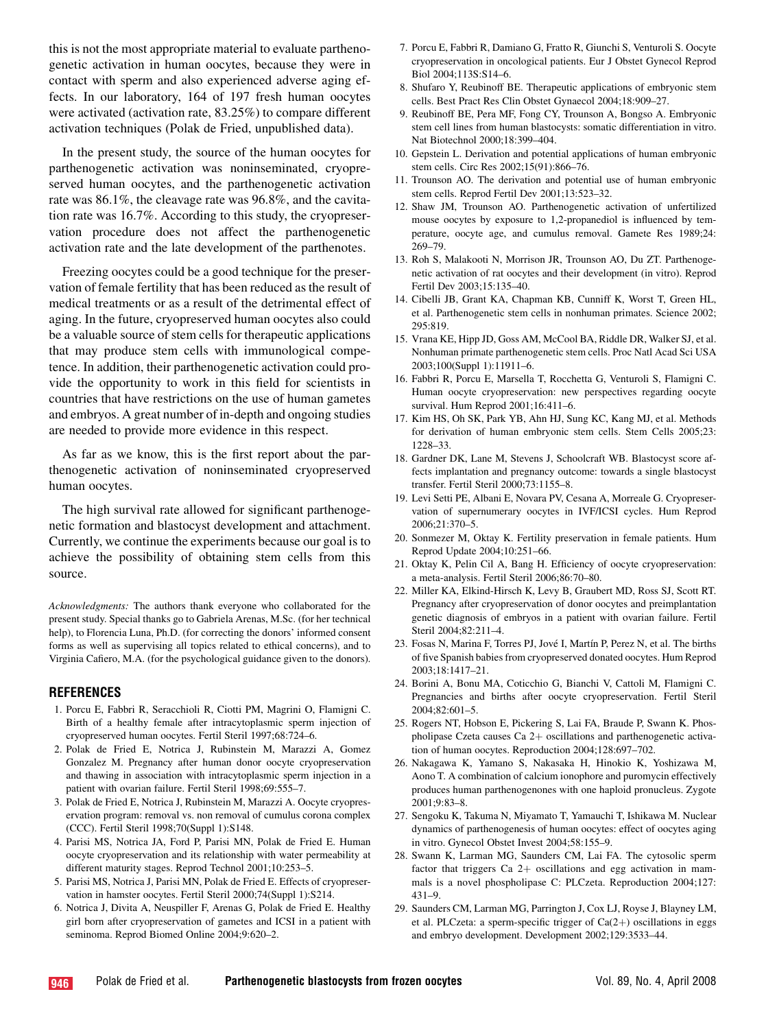<span id="page-3-0"></span>this is not the most appropriate material to evaluate parthenogenetic activation in human oocytes, because they were in contact with sperm and also experienced adverse aging effects. In our laboratory, 164 of 197 fresh human oocytes were activated (activation rate, 83.25%) to compare different activation techniques (Polak de Fried, unpublished data).

In the present study, the source of the human oocytes for parthenogenetic activation was noninseminated, cryopreserved human oocytes, and the parthenogenetic activation rate was 86.1%, the cleavage rate was 96.8%, and the cavitation rate was 16.7%. According to this study, the cryopreservation procedure does not affect the parthenogenetic activation rate and the late development of the parthenotes.

Freezing oocytes could be a good technique for the preservation of female fertility that has been reduced as the result of medical treatments or as a result of the detrimental effect of aging. In the future, cryopreserved human oocytes also could be a valuable source of stem cells for therapeutic applications that may produce stem cells with immunological competence. In addition, their parthenogenetic activation could provide the opportunity to work in this field for scientists in countries that have restrictions on the use of human gametes and embryos. A great number of in-depth and ongoing studies are needed to provide more evidence in this respect.

As far as we know, this is the first report about the parthenogenetic activation of noninseminated cryopreserved human oocytes.

The high survival rate allowed for significant parthenogenetic formation and blastocyst development and attachment. Currently, we continue the experiments because our goal is to achieve the possibility of obtaining stem cells from this source.

Acknowledgments: The authors thank everyone who collaborated for the present study. Special thanks go to Gabriela Arenas, M.Sc. (for her technical help), to Florencia Luna, Ph.D. (for correcting the donors' informed consent forms as well as supervising all topics related to ethical concerns), and to Virginia Cafiero, M.A. (for the psychological guidance given to the donors).

#### **REFERENCES**

- 1. Porcu E, Fabbri R, Seracchioli R, Ciotti PM, Magrini O, Flamigni C. Birth of a healthy female after intracytoplasmic sperm injection of cryopreserved human oocytes. Fertil Steril 1997;68:724–6.
- 2. Polak de Fried E, Notrica J, Rubinstein M, Marazzi A, Gomez Gonzalez M. Pregnancy after human donor oocyte cryopreservation and thawing in association with intracytoplasmic sperm injection in a patient with ovarian failure. Fertil Steril 1998;69:555–7.
- 3. Polak de Fried E, Notrica J, Rubinstein M, Marazzi A. Oocyte cryopreservation program: removal vs. non removal of cumulus corona complex (CCC). Fertil Steril 1998;70(Suppl 1):S148.
- 4. Parisi MS, Notrica JA, Ford P, Parisi MN, Polak de Fried E. Human oocyte cryopreservation and its relationship with water permeability at different maturity stages. Reprod Technol 2001;10:253–5.
- 5. Parisi MS, Notrica J, Parisi MN, Polak de Fried E. Effects of cryopreservation in hamster oocytes. Fertil Steril 2000;74(Suppl 1):S214.
- 6. Notrica J, Divita A, Neuspiller F, Arenas G, Polak de Fried E. Healthy girl born after cryopreservation of gametes and ICSI in a patient with seminoma. Reprod Biomed Online 2004;9:620–2.
- 7. Porcu E, Fabbri R, Damiano G, Fratto R, Giunchi S, Venturoli S. Oocyte cryopreservation in oncological patients. Eur J Obstet Gynecol Reprod Biol 2004;113S:S14–6.
- 8. Shufaro Y, Reubinoff BE. Therapeutic applications of embryonic stem cells. Best Pract Res Clin Obstet Gynaecol 2004;18:909–27.
- 9. Reubinoff BE, Pera MF, Fong CY, Trounson A, Bongso A. Embryonic stem cell lines from human blastocysts: somatic differentiation in vitro. Nat Biotechnol 2000;18:399–404.
- 10. Gepstein L. Derivation and potential applications of human embryonic stem cells. Circ Res 2002;15(91):866–76.
- 11. Trounson AO. The derivation and potential use of human embryonic stem cells. Reprod Fertil Dev 2001;13:523–32.
- 12. Shaw JM, Trounson AO. Parthenogenetic activation of unfertilized mouse oocytes by exposure to 1,2-propanediol is influenced by temperature, oocyte age, and cumulus removal. Gamete Res 1989;24: 269–79.
- 13. Roh S, Malakooti N, Morrison JR, Trounson AO, Du ZT. Parthenogenetic activation of rat oocytes and their development (in vitro). Reprod Fertil Dev 2003;15:135–40.
- 14. Cibelli JB, Grant KA, Chapman KB, Cunniff K, Worst T, Green HL, et al. Parthenogenetic stem cells in nonhuman primates. Science 2002; 295:819.
- 15. Vrana KE, Hipp JD, Goss AM, McCool BA, Riddle DR, Walker SJ, et al. Nonhuman primate parthenogenetic stem cells. Proc Natl Acad Sci USA 2003;100(Suppl 1):11911–6.
- 16. Fabbri R, Porcu E, Marsella T, Rocchetta G, Venturoli S, Flamigni C. Human oocyte cryopreservation: new perspectives regarding oocyte survival. Hum Reprod 2001;16:411–6.
- 17. Kim HS, Oh SK, Park YB, Ahn HJ, Sung KC, Kang MJ, et al. Methods for derivation of human embryonic stem cells. Stem Cells 2005;23: 1228–33.
- 18. Gardner DK, Lane M, Stevens J, Schoolcraft WB. Blastocyst score affects implantation and pregnancy outcome: towards a single blastocyst transfer. Fertil Steril 2000;73:1155–8.
- 19. Levi Setti PE, Albani E, Novara PV, Cesana A, Morreale G. Cryopreservation of supernumerary oocytes in IVF/ICSI cycles. Hum Reprod 2006;21:370–5.
- 20. Sonmezer M, Oktay K. Fertility preservation in female patients. Hum Reprod Update 2004;10:251–66.
- 21. Oktay K, Pelin Cil A, Bang H. Efficiency of oocyte cryopreservation: a meta-analysis. Fertil Steril 2006;86:70–80.
- 22. Miller KA, Elkind-Hirsch K, Levy B, Graubert MD, Ross SJ, Scott RT. Pregnancy after cryopreservation of donor oocytes and preimplantation genetic diagnosis of embryos in a patient with ovarian failure. Fertil Steril 2004;82:211–4.
- 23. Fosas N, Marina F, Torres PJ, Jové I, Martín P, Perez N, et al. The births of five Spanish babiesfrom cryopreserved donated oocytes. Hum Reprod 2003;18:1417–21.
- 24. Borini A, Bonu MA, Coticchio G, Bianchi V, Cattoli M, Flamigni C. Pregnancies and births after oocyte cryopreservation. Fertil Steril 2004;82:601–5.
- 25. Rogers NT, Hobson E, Pickering S, Lai FA, Braude P, Swann K. Phospholipase Czeta causes Ca  $2+$  oscillations and parthenogenetic activation of human oocytes. Reproduction 2004;128:697–702.
- 26. Nakagawa K, Yamano S, Nakasaka H, Hinokio K, Yoshizawa M, Aono T. A combination of calcium ionophore and puromycin effectively produces human parthenogenones with one haploid pronucleus. Zygote 2001;9:83–8.
- 27. Sengoku K, Takuma N, Miyamato T, Yamauchi T, Ishikawa M. Nuclear dynamics of parthenogenesis of human oocytes: effect of oocytes aging in vitro. Gynecol Obstet Invest 2004;58:155–9.
- 28. Swann K, Larman MG, Saunders CM, Lai FA. The cytosolic sperm factor that triggers Ca  $2+$  oscillations and egg activation in mammals is a novel phospholipase C: PLCzeta. Reproduction 2004;127: 431–9.
- 29. Saunders CM, Larman MG, Parrington J, Cox LJ, Royse J, Blayney LM, et al. PLCzeta: a sperm-specific trigger of  $Ca(2+)$  oscillations in eggs and embryo development. Development 2002;129:3533–44.